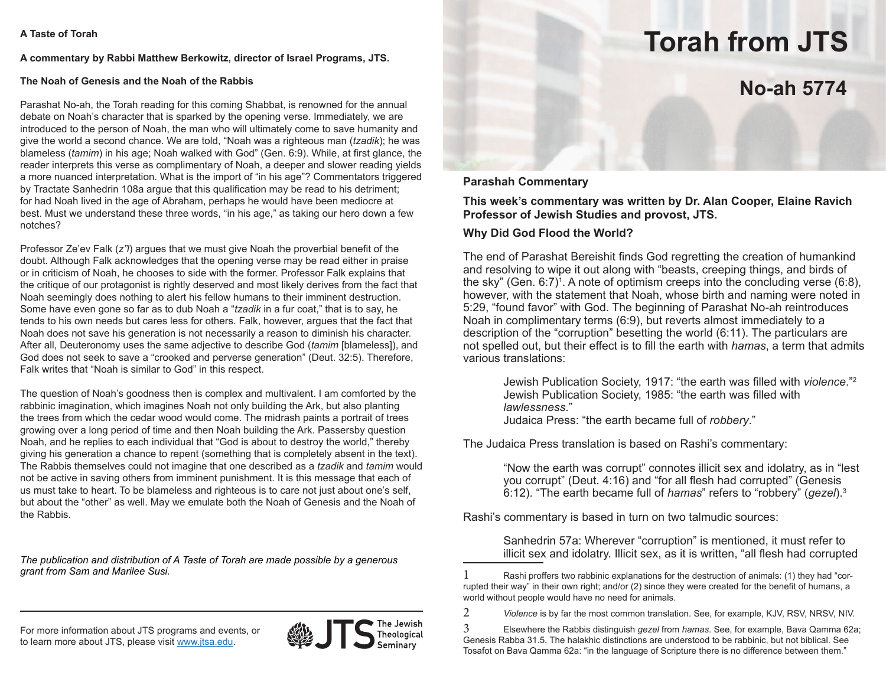#### **A commentary by Rabbi Matthew Berkowitz, director of Israel Programs, JTS.**

### **The Noah of Genesis and the Noah of the Rabbis**

Parashat No-ah, the Torah reading for this coming Shabbat, is renowned for the annual debate on Noah's character that is sparked by the opening verse. Immediately, we are introduced to the person of Noah, the man who will ultimately come to save humanity and give the world a second chance. We are told, "Noah was a righteous man (*tzadik*); he was blameless (*tamim*) in his age; Noah walked with God" (Gen. 6:9). While, at first glance, the reader interprets this verse as complimentary of Noah, a deeper and slower reading yields a more nuanced interpretation. What is the import of "in his age"? Commentators triggered by Tractate Sanhedrin 108a argue that this qualification may be read to his detriment; for had Noah lived in the age of Abraham, perhaps he would have been mediocre at best. Must we understand these three words, "in his age," as taking our hero down a few notches?

Professor Ze'ev Falk (*z"l*) argues that we must give Noah the proverbial benefit of the doubt. Although Falk acknowledges that the opening verse may be read either in praise or in criticism of Noah, he chooses to side with the former. Professor Falk explains that the critique of our protagonist is rightly deserved and most likely derives from the fact that Noah seemingly does nothing to alert his fellow humans to their imminent destruction. Some have even gone so far as to dub Noah a "*tzadik* in a fur coat," that is to say, he tends to his own needs but cares less for others. Falk, however, argues that the fact that Noah does not save his generation is not necessarily a reason to diminish his character. After all, Deuteronomy uses the same adjective to describe God (*tamim* [blameless]), and God does not seek to save a "crooked and perverse generation" (Deut. 32:5). Therefore, Falk writes that "Noah is similar to God" in this respect.

The question of Noah's goodness then is complex and multivalent. I am comforted by the rabbinic imagination, which imagines Noah not only building the Ark, but also planting the trees from which the cedar wood would come. The midrash paints a portrait of trees growing over a long period of time and then Noah building the Ark. Passersby question Noah, and he replies to each individual that "God is about to destroy the world," thereby giving his generation a chance to repent (something that is completely absent in the text). The Rabbis themselves could not imagine that one described as a *tzadik* and *tamim* would not be active in saving others from imminent punishment. It is this message that each of us must take to heart. To be blameless and righteous is to care not just about one's self, but about the "other" as well. May we emulate both the Noah of Genesis and the Noah of the Rabbis.

*The publication and distribution of A Taste of Torah are made possible by a generous grant from Sam and Marilee Susi.*

For more information about JTS programs and events, or to learn more about JTS, please visit www.jtsa.edu.



Theological

# **Torah from JTS**

## **No-ah 5774**

### **Parashah Commentary**

**This week's commentary was written by Dr. Alan Cooper, Elaine Ravich Professor of Jewish Studies and provost, JTS.**

### **Why Did God Flood the World?**

The end of Parashat Bereishit finds God regretting the creation of humankind and resolving to wipe it out along with "beasts, creeping things, and birds of the sky" (Gen. 6:7)<sup>1</sup>. A note of optimism creeps into the concluding verse (6:8), however, with the statement that Noah, whose birth and naming were noted in 5:29, "found favor" with God. The beginning of Parashat No-ah reintroduces Noah in complimentary terms (6:9), but reverts almost immediately to a description of the "corruption" besetting the world (6:11). The particulars are not spelled out, but their effect is to fill the earth with *hamas*, a term that admits various translations:

Jewish Publication Society, 1917: "the earth was filled with *violence*."2 Jewish Publication Society, 1985: "the earth was filled with *lawlessness*." Judaica Press: "the earth became full of *robbery*."

The Judaica Press translation is based on Rashi's commentary:

"Now the earth was corrupt" connotes illicit sex and idolatry, as in "lest you corrupt" (Deut. 4:16) and "for all flesh had corrupted" (Genesis 6:12). "The earth became full of *hamas*" refers to "robbery" (*gezel*).3

Rashi's commentary is based in turn on two talmudic sources:

Sanhedrin 57a: Wherever "corruption" is mentioned, it must refer to illicit sex and idolatry. Illicit sex, as it is written, "all flesh had corrupted

2 *Violence* is by far the most common translation. See, for example, KJV, RSV, NRSV, NIV.

3 Elsewhere the Rabbis distinguish *gezel* from *hamas*. See, for example, Bava Qamma 62a; Genesis Rabba 31.5. The halakhic distinctions are understood to be rabbinic, but not biblical. See Tosafot on Bava Qamma 62a: "in the language of Scripture there is no difference between them."

<sup>1</sup>  Rashi proffers two rabbinic explanations for the destruction of animals: (1) they had "corrupted their way" in their own right; and/or (2) since they were created for the benefit of humans, a world without people would have no need for animals.